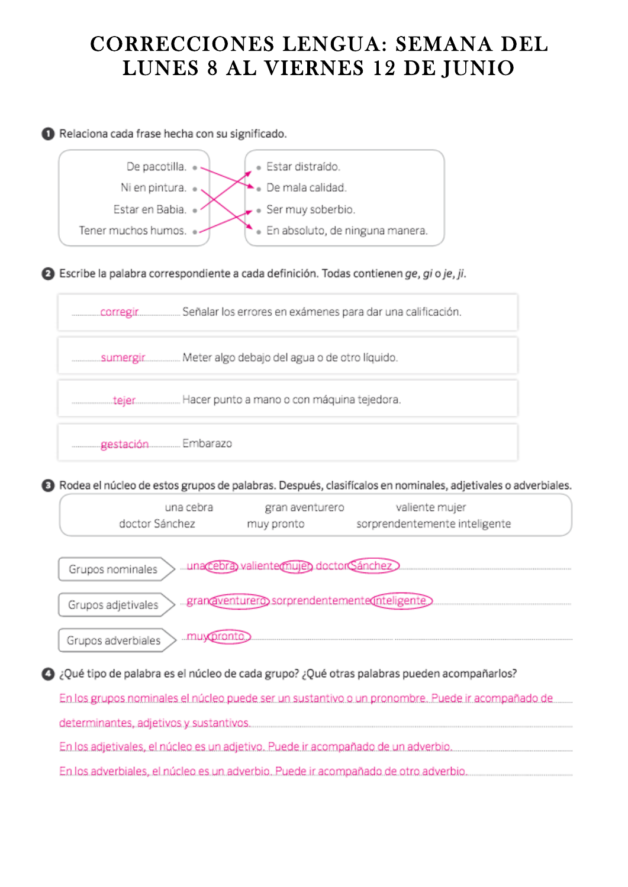# CORRECCIONES LENGUA: SEMANA DEL LUNES 8 AL VIERNES 12 DE JUNIO

Relaciona cada frase hecha con su significado.



**△** Escribe la palabra correspondiente a cada definición. Todas contienen ge, gi o je, ji.



**8** Rodea el núcleo de estos grupos de palabras. Después, clasifícalos en nominales, adjetivales o adverbiales.

| una cebra      | gran aventurero | valiente mujer                |
|----------------|-----------------|-------------------------------|
| doctor Sánchez | muy pronto      | sorprendentemente inteligente |



O ¿Qué tipo de palabra es el núcleo de cada grupo? ¿Qué otras palabras pueden acompañarlos?

En los grupos nominales el núcleo puede ser un sustantivo o un pronombre. Puede ir acompañado de

determinantes, adjetivos y sustantivos.

En los adjetivales, el núcleo es un adjetivo. Puede ir acompañado de un adverbio.

En los adverbiales, el núcleo es un adverbio. Puede ir acompañado de otro adverbio...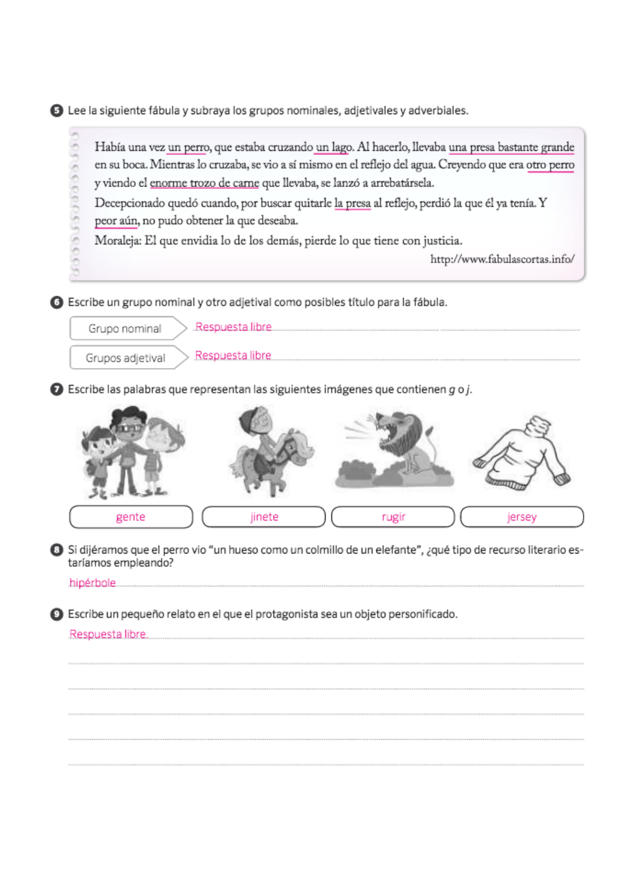**O** Lee la siguiente fábula y subraya los grupos nominales, adjetivales y adverbiales.

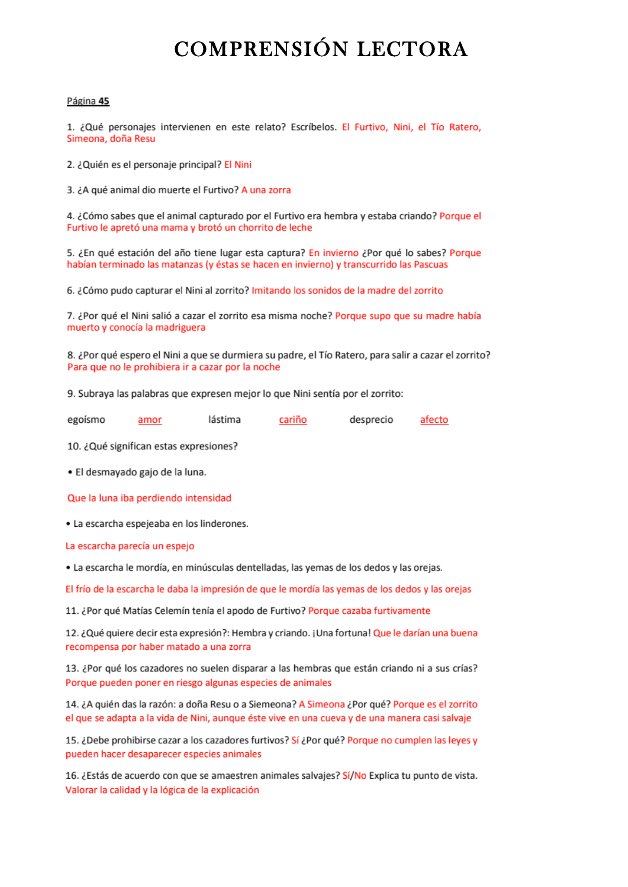# COMPRENSIÓN LECTORA

#### Página 45

1. ¿Qué personajes intervienen en este relato? Escríbelos. El Furtivo, Nini, el Tío Ratero, Simeona, doña Resu

2. ¿Quién es el personaje principal? El Nini

3. ¿A qué animal dio muerte el Furtivo? A una zorra

4. ¿Cómo sabes que el animal capturado por el Furtivo era hembra y estaba criando? Porque el Furtivo le apretó una mama y brotó un chorrito de leche

5. ¿En qué estación del año tiene lugar esta captura? En invierno ¿Por qué lo sabes? Porque habían terminado las matanzas (y éstas se hacen en invierno) y transcurrido las Pascuas

6. ¿Cómo pudo capturar el Nini al zorrito? Imitando los sonidos de la madre del zorrito

7. ¿Por qué el Nini salió a cazar el zorrito esa misma noche? Porque supo que su madre había muerto y conocía la madriguera

8. ¿Por qué espero el Nini a que se durmiera su padre, el Tío Ratero, para salir a cazar el zorrito? Para que no le prohibiera ir a cazar por la noche

9. Subraya las palabras que expresen mejor lo que Nini sentía por el zorrito:

|  | egoismo | amor | lástima | cariño | desprecio | afecto |
|--|---------|------|---------|--------|-----------|--------|
|--|---------|------|---------|--------|-----------|--------|

10. ¿Qué significan estas expresiones?

· El desmayado gajo de la luna.

Que la luna iba perdiendo intensidad

· La escarcha espejeaba en los linderones.

La escarcha parecía un espejo

· La escarcha le mordía, en minúsculas dentelladas, las yemas de los dedos y las orejas.

El frío de la escarcha le daba la impresión de que le mordía las yemas de los dedos y las orejas

11. ¿Por qué Matías Celemín tenía el apodo de Furtivo? Porque cazaba furtivamente

12. ¿Qué quiere decir esta expresión?: Hembra y criando. ¡Una fortuna! Que le darían una buena recompensa por haber matado a una zorra

13. ¿Por qué los cazadores no suelen disparar a las hembras que están criando ni a sus crías? Porque pueden poner en riesgo algunas especies de animales

14. ¿A quién das la razón: a doña Resu o a Siemeona? A Simeona ¿Por qué? Porque es el zorrito el que se adapta a la vida de Nini, aunque éste vive en una cueva y de una manera casi salvaje

15. ¿Debe prohibirse cazar a los cazadores furtivos? Sí ¿Por qué? Porque no cumplen las leyes y pueden hacer desaparecer especies animales

16. ¿Estás de acuerdo con que se amaestren animales salvajes? Sí/No Explica tu punto de vista. Valorar la calidad y la lógica de la explicación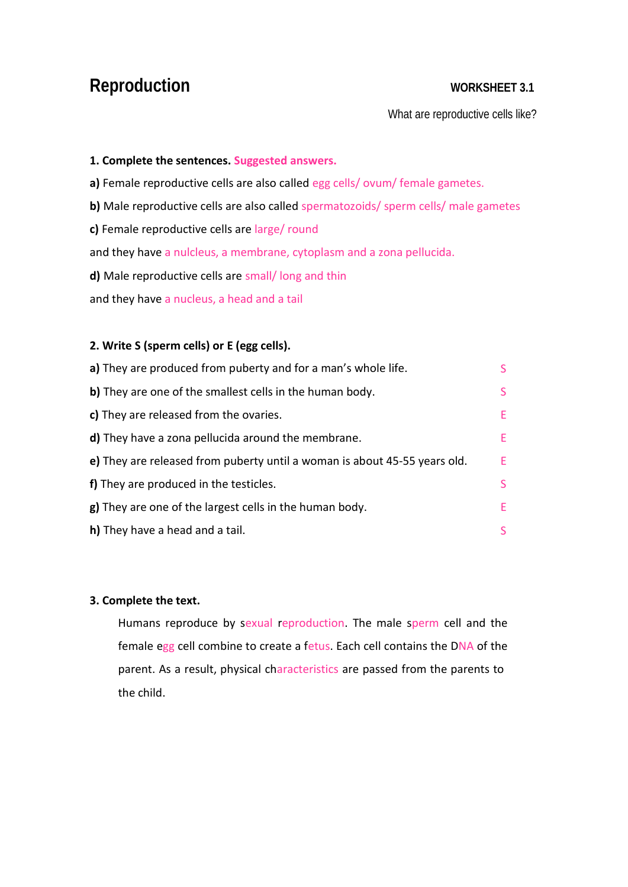## **Reproduction WORKSHEET 3.1**

What are reproductive cells like?

#### **1. Complete the sentences. Suggested answers.**

**a)** Female reproductive cells are also called egg cells/ ovum/ female gametes.

- **b)** Male reproductive cells are also called spermatozoids/ sperm cells/ male gametes
- **c)** Female reproductive cells are large/ round

and they have a nulcleus, a membrane, cytoplasm and a zona pellucida.

**d)** Male reproductive cells are small/ long and thin

and they have a nucleus, a head and a tail

#### **2. Write S (sperm cells) or E (egg cells).**

| a) They are produced from puberty and for a man's whole life.             |    |
|---------------------------------------------------------------------------|----|
| b) They are one of the smallest cells in the human body.                  |    |
| c) They are released from the ovaries.                                    | E. |
| <b>d)</b> They have a zona pellucida around the membrane.                 | E. |
| e) They are released from puberty until a woman is about 45-55 years old. | F. |
| f) They are produced in the testicles.                                    |    |
| g) They are one of the largest cells in the human body.                   | E. |
| h) They have a head and a tail.                                           |    |

#### **3. Complete the text.**

Humans reproduce by sexual reproduction. The male sperm cell and the female egg cell combine to create a fetus. Each cell contains the DNA of the parent. As a result, physical characteristics are passed from the parents to the child.